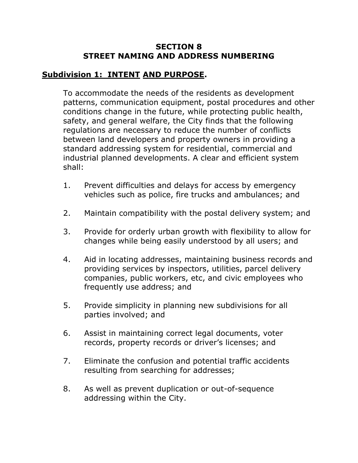#### **SECTION 8 STREET NAMING AND ADDRESS NUMBERING**

## **Subdivision 1: INTENT AND PURPOSE.**

To accommodate the needs of the residents as development patterns, communication equipment, postal procedures and other conditions change in the future, while protecting public health, safety, and general welfare, the City finds that the following regulations are necessary to reduce the number of conflicts between land developers and property owners in providing a standard addressing system for residential, commercial and industrial planned developments. A clear and efficient system shall:

- 1. Prevent difficulties and delays for access by emergency vehicles such as police, fire trucks and ambulances; and
- 2. Maintain compatibility with the postal delivery system; and
- 3. Provide for orderly urban growth with flexibility to allow for changes while being easily understood by all users; and
- 4. Aid in locating addresses, maintaining business records and providing services by inspectors, utilities, parcel delivery companies, public workers, etc, and civic employees who frequently use address; and
- 5. Provide simplicity in planning new subdivisions for all parties involved; and
- 6. Assist in maintaining correct legal documents, voter records, property records or driver's licenses; and
- 7. Eliminate the confusion and potential traffic accidents resulting from searching for addresses;
- 8. As well as prevent duplication or out-of-sequence addressing within the City.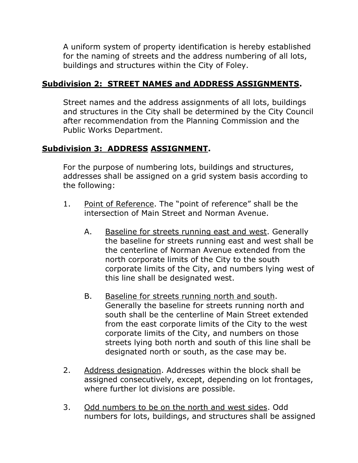A uniform system of property identification is hereby established for the naming of streets and the address numbering of all lots, buildings and structures within the City of Foley.

## **Subdivision 2: STREET NAMES and ADDRESS ASSIGNMENTS.**

Street names and the address assignments of all lots, buildings and structures in the City shall be determined by the City Council after recommendation from the Planning Commission and the Public Works Department.

## **Subdivision 3: ADDRESS ASSIGNMENT.**

For the purpose of numbering lots, buildings and structures, addresses shall be assigned on a grid system basis according to the following:

- 1. Point of Reference. The "point of reference" shall be the intersection of Main Street and Norman Avenue.
	- A. Baseline for streets running east and west. Generally the baseline for streets running east and west shall be the centerline of Norman Avenue extended from the north corporate limits of the City to the south corporate limits of the City, and numbers lying west of this line shall be designated west.
	- B. Baseline for streets running north and south. Generally the baseline for streets running north and south shall be the centerline of Main Street extended from the east corporate limits of the City to the west corporate limits of the City, and numbers on those streets lying both north and south of this line shall be designated north or south, as the case may be.
- 2. Address designation. Addresses within the block shall be assigned consecutively, except, depending on lot frontages, where further lot divisions are possible.
- 3. Odd numbers to be on the north and west sides. Odd numbers for lots, buildings, and structures shall be assigned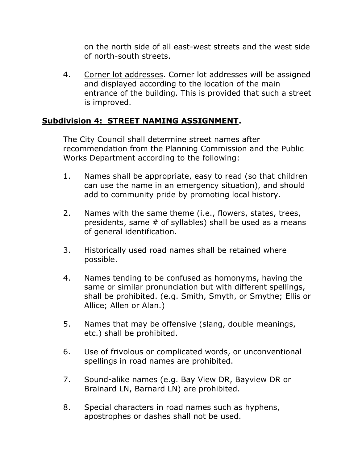on the north side of all east-west streets and the west side of north-south streets.

4. Corner lot addresses. Corner lot addresses will be assigned and displayed according to the location of the main entrance of the building. This is provided that such a street is improved.

## **Subdivision 4: STREET NAMING ASSIGNMENT.**

The City Council shall determine street names after recommendation from the Planning Commission and the Public Works Department according to the following:

- 1. Names shall be appropriate, easy to read (so that children can use the name in an emergency situation), and should add to community pride by promoting local history.
- 2. Names with the same theme (i.e., flowers, states, trees, presidents, same # of syllables) shall be used as a means of general identification.
- 3. Historically used road names shall be retained where possible.
- 4. Names tending to be confused as homonyms, having the same or similar pronunciation but with different spellings, shall be prohibited. (e.g. Smith, Smyth, or Smythe; Ellis or Allice; Allen or Alan.)
- 5. Names that may be offensive (slang, double meanings, etc.) shall be prohibited.
- 6. Use of frivolous or complicated words, or unconventional spellings in road names are prohibited.
- 7. Sound-alike names (e.g. Bay View DR, Bayview DR or Brainard LN, Barnard LN) are prohibited.
- 8. Special characters in road names such as hyphens, apostrophes or dashes shall not be used.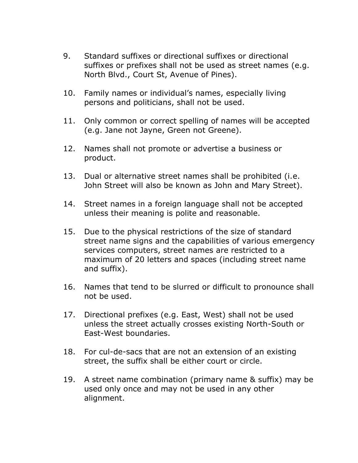- 9. Standard suffixes or directional suffixes or directional suffixes or prefixes shall not be used as street names (e.g. North Blvd., Court St, Avenue of Pines).
- 10. Family names or individual's names, especially living persons and politicians, shall not be used.
- 11. Only common or correct spelling of names will be accepted (e.g. Jane not Jayne, Green not Greene).
- 12. Names shall not promote or advertise a business or product.
- 13. Dual or alternative street names shall be prohibited (i.e. John Street will also be known as John and Mary Street).
- 14. Street names in a foreign language shall not be accepted unless their meaning is polite and reasonable.
- 15. Due to the physical restrictions of the size of standard street name signs and the capabilities of various emergency services computers, street names are restricted to a maximum of 20 letters and spaces (including street name and suffix).
- 16. Names that tend to be slurred or difficult to pronounce shall not be used.
- 17. Directional prefixes (e.g. East, West) shall not be used unless the street actually crosses existing North-South or East-West boundaries.
- 18. For cul-de-sacs that are not an extension of an existing street, the suffix shall be either court or circle.
- 19. A street name combination (primary name & suffix) may be used only once and may not be used in any other alignment.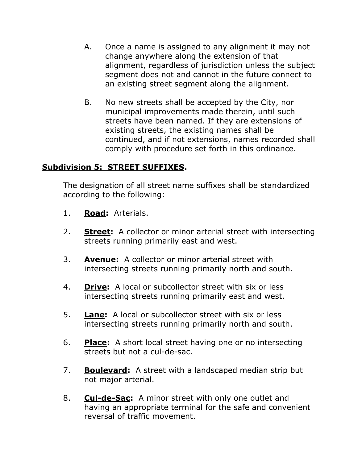- A. Once a name is assigned to any alignment it may not change anywhere along the extension of that alignment, regardless of jurisdiction unless the subject segment does not and cannot in the future connect to an existing street segment along the alignment.
- B. No new streets shall be accepted by the City, nor municipal improvements made therein, until such streets have been named. If they are extensions of existing streets, the existing names shall be continued, and if not extensions, names recorded shall comply with procedure set forth in this ordinance.

#### **Subdivision 5: STREET SUFFIXES.**

The designation of all street name suffixes shall be standardized according to the following:

- 1. **Road:** Arterials.
- 2. **Street:** A collector or minor arterial street with intersecting streets running primarily east and west.
- 3. **Avenue:** A collector or minor arterial street with intersecting streets running primarily north and south.
- 4. **Drive:** A local or subcollector street with six or less intersecting streets running primarily east and west.
- 5. **Lane:** A local or subcollector street with six or less intersecting streets running primarily north and south.
- 6. **Place:** A short local street having one or no intersecting streets but not a cul-de-sac.
- 7. **Boulevard:** A street with a landscaped median strip but not major arterial.
- 8. **Cul-de-Sac:** A minor street with only one outlet and having an appropriate terminal for the safe and convenient reversal of traffic movement.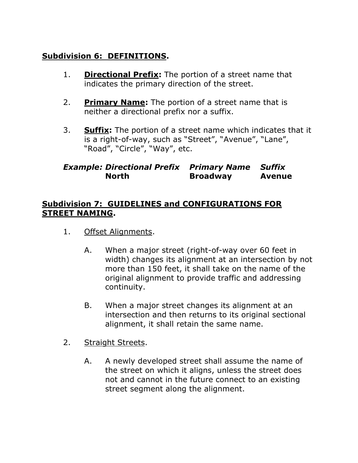# **Subdivision 6: DEFINITIONS.**

- 1. **Directional Prefix:** The portion of a street name that indicates the primary direction of the street.
- 2. **Primary Name:** The portion of a street name that is neither a directional prefix nor a suffix.
- 3. **Suffix:** The portion of a street name which indicates that it is a right-of-way, such as "Street", "Avenue", "Lane", "Road", "Circle", "Way", etc.

## *Example: Directional Prefix Primary Name Suffix* **North Broadway Avenue**

#### **Subdivision 7: GUIDELINES and CONFIGURATIONS FOR STREET NAMING.**

- 1. Offset Alignments.
	- A. When a major street (right-of-way over 60 feet in width) changes its alignment at an intersection by not more than 150 feet, it shall take on the name of the original alignment to provide traffic and addressing continuity.
	- B. When a major street changes its alignment at an intersection and then returns to its original sectional alignment, it shall retain the same name.
- 2. Straight Streets.
	- A. A newly developed street shall assume the name of the street on which it aligns, unless the street does not and cannot in the future connect to an existing street segment along the alignment.